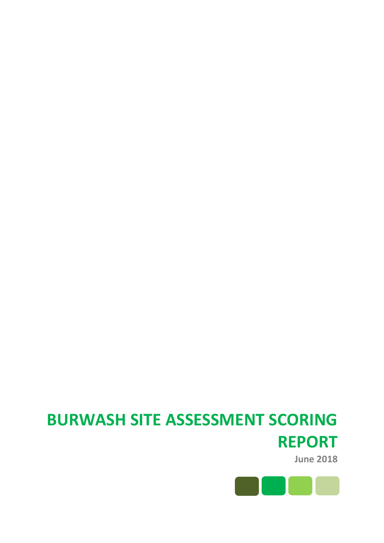# **BURWASH SITE ASSESSMENT SCORING REPORT**

**June 2018**

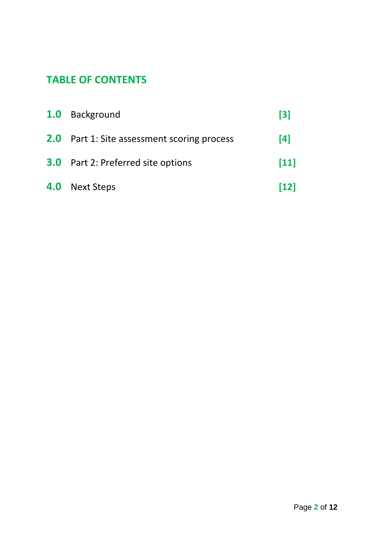# **TABLE OF CONTENTS**

| 1.0 Background                                     | $\lceil 3 \rceil$ |
|----------------------------------------------------|-------------------|
| <b>2.0</b> Part 1: Site assessment scoring process | [4]               |
| <b>3.0</b> Part 2: Preferred site options          | $[11]$            |
| <b>4.0</b> Next Steps                              | [12]              |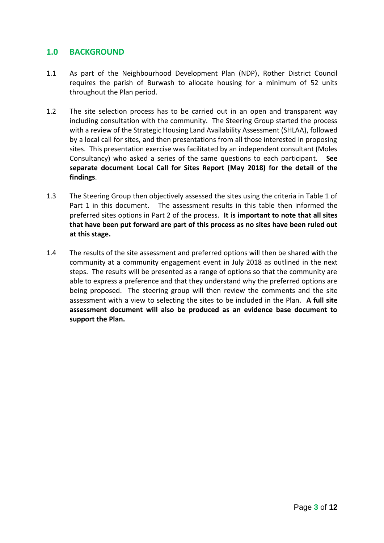### **1.0 BACKGROUND**

- 1.1 As part of the Neighbourhood Development Plan (NDP), Rother District Council requires the parish of Burwash to allocate housing for a minimum of 52 units throughout the Plan period.
- 1.2 The site selection process has to be carried out in an open and transparent way including consultation with the community. The Steering Group started the process with a review of the Strategic Housing Land Availability Assessment (SHLAA), followed by a local call for sites, and then presentations from all those interested in proposing sites. This presentation exercise was facilitated by an independent consultant (Moles Consultancy) who asked a series of the same questions to each participant. **See separate document Local Call for Sites Report (May 2018) for the detail of the findings**.
- 1.3 The Steering Group then objectively assessed the sites using the criteria in Table 1 of Part 1 in this document. The assessment results in this table then informed the preferred sites options in Part 2 of the process. **It is important to note that all sites that have been put forward are part of this process as no sites have been ruled out at this stage.**
- 1.4 The results of the site assessment and preferred options will then be shared with the community at a community engagement event in July 2018 as outlined in the next steps. The results will be presented as a range of options so that the community are able to express a preference and that they understand why the preferred options are being proposed. The steering group will then review the comments and the site assessment with a view to selecting the sites to be included in the Plan. **A full site assessment document will also be produced as an evidence base document to support the Plan.**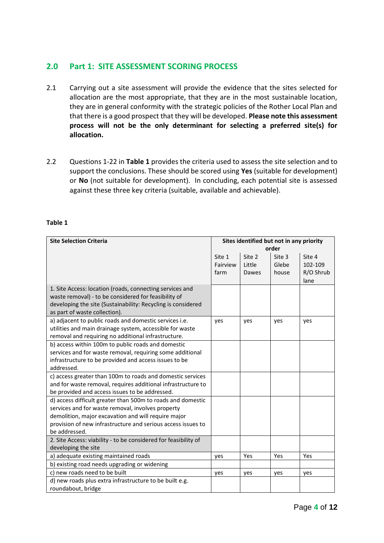# **2.0 Part 1: SITE ASSESSMENT SCORING PROCESS**

- 2.1 Carrying out a site assessment will provide the evidence that the sites selected for allocation are the most appropriate, that they are in the most sustainable location, they are in general conformity with the strategic policies of the Rother Local Plan and that there is a good prospect that they will be developed. **Please note this assessment process will not be the only determinant for selecting a preferred site(s) for allocation.**
- 2.2 Questions 1-22 in **Table 1** provides the criteria used to assess the site selection and to support the conclusions. These should be scored using **Yes** (suitable for development) or **No** (not suitable for development). In concluding, each potential site is assessed against these three key criteria (suitable, available and achievable).

#### **Table 1**

| <b>Site Selection Criteria</b>                                  |          | Sites identified but not in any priority |        |           |  |
|-----------------------------------------------------------------|----------|------------------------------------------|--------|-----------|--|
|                                                                 | order    |                                          |        |           |  |
|                                                                 | Site 1   | Site 2                                   | Site 3 | Site 4    |  |
|                                                                 | Fairview | Little                                   | Glebe  | 102-109   |  |
|                                                                 | farm     | Dawes                                    | house  | R/O Shrub |  |
|                                                                 |          |                                          |        | lane      |  |
| 1. Site Access: location (roads, connecting services and        |          |                                          |        |           |  |
| waste removal) - to be considered for feasibility of            |          |                                          |        |           |  |
| developing the site (Sustainability: Recycling is considered    |          |                                          |        |           |  |
| as part of waste collection).                                   |          |                                          |        |           |  |
| a) adjacent to public roads and domestic services i.e.          | yes      | yes                                      | yes    | yes       |  |
| utilities and main drainage system, accessible for waste        |          |                                          |        |           |  |
| removal and requiring no additional infrastructure.             |          |                                          |        |           |  |
| b) access within 100m to public roads and domestic              |          |                                          |        |           |  |
| services and for waste removal, requiring some additional       |          |                                          |        |           |  |
| infrastructure to be provided and access issues to be           |          |                                          |        |           |  |
| addressed.                                                      |          |                                          |        |           |  |
| c) access greater than 100m to roads and domestic services      |          |                                          |        |           |  |
| and for waste removal, requires additional infrastructure to    |          |                                          |        |           |  |
| be provided and access issues to be addressed.                  |          |                                          |        |           |  |
| d) access difficult greater than 500m to roads and domestic     |          |                                          |        |           |  |
| services and for waste removal, involves property               |          |                                          |        |           |  |
| demolition, major excavation and will require major             |          |                                          |        |           |  |
| provision of new infrastructure and serious access issues to    |          |                                          |        |           |  |
| be addressed.                                                   |          |                                          |        |           |  |
| 2. Site Access: viability - to be considered for feasibility of |          |                                          |        |           |  |
| developing the site                                             |          |                                          |        |           |  |
| a) adequate existing maintained roads                           | yes      | Yes                                      | Yes    | Yes       |  |
| b) existing road needs upgrading or widening                    |          |                                          |        |           |  |
| c) new roads need to be built                                   | yes      | yes                                      | yes    | yes       |  |
| d) new roads plus extra infrastructure to be built e.g.         |          |                                          |        |           |  |
| roundabout, bridge                                              |          |                                          |        |           |  |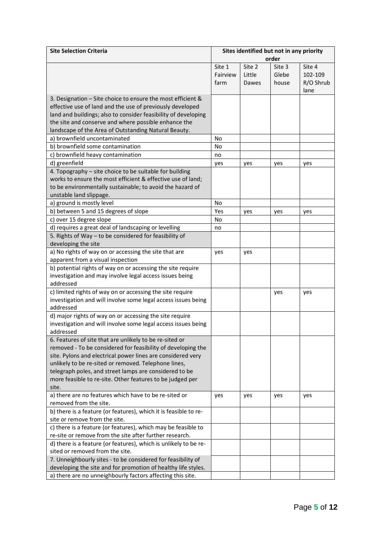| <b>Site Selection Criteria</b>                                   |          | Sites identified but not in any priority |        |           |
|------------------------------------------------------------------|----------|------------------------------------------|--------|-----------|
|                                                                  |          |                                          | order  |           |
|                                                                  | Site 1   | Site 2                                   | Site 3 | Site 4    |
|                                                                  | Fairview | Little                                   | Glebe  | 102-109   |
|                                                                  | farm     | Dawes                                    | house  | R/O Shrub |
|                                                                  |          |                                          |        | lane      |
| 3. Designation - Site choice to ensure the most efficient &      |          |                                          |        |           |
| effective use of land and the use of previously developed        |          |                                          |        |           |
| land and buildings; also to consider feasibility of developing   |          |                                          |        |           |
| the site and conserve and where possible enhance the             |          |                                          |        |           |
| landscape of the Area of Outstanding Natural Beauty.             |          |                                          |        |           |
| a) brownfield uncontaminated                                     | No       |                                          |        |           |
| b) brownfield some contamination                                 | No       |                                          |        |           |
| c) brownfield heavy contamination                                | no       |                                          |        |           |
| d) greenfield                                                    | yes      | yes                                      | yes    | yes       |
| 4. Topography - site choice to be suitable for building          |          |                                          |        |           |
| works to ensure the most efficient & effective use of land;      |          |                                          |        |           |
| to be environmentally sustainable; to avoid the hazard of        |          |                                          |        |           |
| unstable land slippage.                                          |          |                                          |        |           |
| a) ground is mostly level                                        | No       |                                          |        |           |
| b) between 5 and 15 degrees of slope                             | Yes      | yes                                      | yes    | yes       |
| c) over 15 degree slope                                          | No       |                                          |        |           |
| d) requires a great deal of landscaping or levelling             | no       |                                          |        |           |
| 5. Rights of Way - to be considered for feasibility of           |          |                                          |        |           |
| developing the site                                              |          |                                          |        |           |
| a) No rights of way on or accessing the site that are            | yes      | yes                                      |        |           |
| apparent from a visual inspection                                |          |                                          |        |           |
| b) potential rights of way on or accessing the site require      |          |                                          |        |           |
| investigation and may involve legal access issues being          |          |                                          |        |           |
| addressed                                                        |          |                                          |        |           |
| c) limited rights of way on or accessing the site require        |          |                                          | yes    | yes       |
| investigation and will involve some legal access issues being    |          |                                          |        |           |
| addressed                                                        |          |                                          |        |           |
| d) major rights of way on or accessing the site require          |          |                                          |        |           |
| investigation and will involve some legal access issues being    |          |                                          |        |           |
| addressed                                                        |          |                                          |        |           |
| 6. Features of site that are unlikely to be re-sited or          |          |                                          |        |           |
| removed - To be considered for feasibility of developing the     |          |                                          |        |           |
| site. Pylons and electrical power lines are considered very      |          |                                          |        |           |
| unlikely to be re-sited or removed. Telephone lines,             |          |                                          |        |           |
| telegraph poles, and street lamps are considered to be           |          |                                          |        |           |
| more feasible to re-site. Other features to be judged per        |          |                                          |        |           |
| site.                                                            |          |                                          |        |           |
| a) there are no features which have to be re-sited or            | yes      | yes                                      | yes    | yes       |
| removed from the site.                                           |          |                                          |        |           |
| b) there is a feature (or features), which it is feasible to re- |          |                                          |        |           |
| site or remove from the site.                                    |          |                                          |        |           |
| c) there is a feature (or features), which may be feasible to    |          |                                          |        |           |
| re-site or remove from the site after further research.          |          |                                          |        |           |
| d) there is a feature (or features), which is unlikely to be re- |          |                                          |        |           |
| sited or removed from the site.                                  |          |                                          |        |           |
| 7. Unneighbourly sites - to be considered for feasibility of     |          |                                          |        |           |
| developing the site and for promotion of healthy life styles.    |          |                                          |        |           |
| a) there are no unneighbourly factors affecting this site.       |          |                                          |        |           |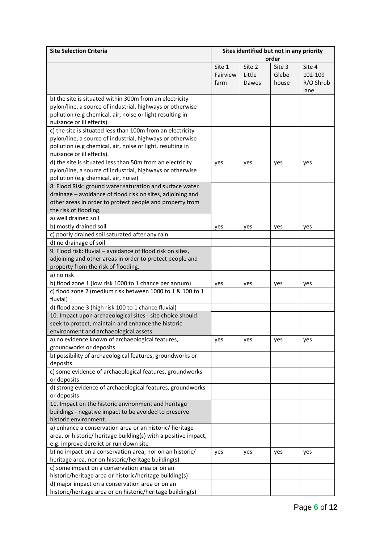| <b>Site Selection Criteria</b>                                                                             |          | Sites identified but not in any priority |        |           |
|------------------------------------------------------------------------------------------------------------|----------|------------------------------------------|--------|-----------|
|                                                                                                            |          |                                          | order  |           |
|                                                                                                            | Site 1   | Site 2                                   | Site 3 | Site 4    |
|                                                                                                            | Fairview | Little                                   | Glebe  | 102-109   |
|                                                                                                            | farm     | Dawes                                    | house  | R/O Shrub |
|                                                                                                            |          |                                          |        | lane      |
| b) the site is situated within 300m from an electricity                                                    |          |                                          |        |           |
| pylon/line, a source of industrial, highways or otherwise                                                  |          |                                          |        |           |
| pollution (e.g chemical, air, noise or light resulting in                                                  |          |                                          |        |           |
| nuisance or ill effects).                                                                                  |          |                                          |        |           |
| c) the site is situated less than 100m from an electricity                                                 |          |                                          |        |           |
| pylon/line, a source of industrial, highways or otherwise                                                  |          |                                          |        |           |
| pollution (e.g chemical, air, noise or light, resulting in                                                 |          |                                          |        |           |
| nuisance or ill effects).                                                                                  |          |                                          |        |           |
| d) the site is situated less than 50m from an electricity                                                  | yes      | yes                                      | yes    | yes       |
| pylon/line, a source of industrial, highways or otherwise                                                  |          |                                          |        |           |
| pollution (e.g chemical, air, noise)                                                                       |          |                                          |        |           |
| 8. Flood Risk: ground water saturation and surface water                                                   |          |                                          |        |           |
| drainage - avoidance of flood risk on sites, adjoining and                                                 |          |                                          |        |           |
| other areas in order to protect people and property from                                                   |          |                                          |        |           |
| the risk of flooding.                                                                                      |          |                                          |        |           |
| a) well drained soil                                                                                       |          |                                          |        |           |
| b) mostly drained soil                                                                                     |          |                                          |        | yes       |
| c) poorly drained soil saturated after any rain                                                            | yes      | yes                                      | yes    |           |
| d) no drainage of soil                                                                                     |          |                                          |        |           |
| 9. Flood risk: fluvial - avoidance of flood risk on sites,                                                 |          |                                          |        |           |
| adjoining and other areas in order to protect people and                                                   |          |                                          |        |           |
| property from the risk of flooding.                                                                        |          |                                          |        |           |
| a) no risk                                                                                                 |          |                                          |        |           |
| b) flood zone 1 (low risk 1000 to 1 chance per annum)                                                      |          |                                          |        |           |
| c) flood zone 2 (medium risk between 1000 to 1 & 100 to 1                                                  | yes      | yes                                      | yes    | yes       |
| fluvial)                                                                                                   |          |                                          |        |           |
| d) flood zone 3 (high risk 100 to 1 chance fluvial)                                                        |          |                                          |        |           |
| 10. Impact upon archaeological sites - site choice should                                                  |          |                                          |        |           |
| seek to protect, maintain and enhance the historic                                                         |          |                                          |        |           |
| environment and archaeological assets.                                                                     |          |                                          |        |           |
| a) no evidence known of archaeological features,                                                           |          |                                          |        |           |
| groundworks or deposits                                                                                    | yes      | yes                                      | yes    | yes       |
| b) possibility of archaeological features, groundworks or                                                  |          |                                          |        |           |
| deposits                                                                                                   |          |                                          |        |           |
| c) some evidence of archaeological features, groundworks                                                   |          |                                          |        |           |
| or deposits                                                                                                |          |                                          |        |           |
| d) strong evidence of archaeological features, groundworks                                                 |          |                                          |        |           |
| or deposits                                                                                                |          |                                          |        |           |
| 11. Impact on the historic environment and heritage                                                        |          |                                          |        |           |
| buildings - negative impact to be avoided to preserve                                                      |          |                                          |        |           |
| historic environment.                                                                                      |          |                                          |        |           |
| a) enhance a conservation area or an historic/ heritage                                                    |          |                                          |        |           |
| area, or historic/ heritage building(s) with a positive impact,                                            |          |                                          |        |           |
|                                                                                                            |          |                                          |        |           |
| e.g. improve derelict or run down site                                                                     |          |                                          |        |           |
| b) no impact on a conservation area, nor on an historic/                                                   | yes      | yes                                      | yes    | yes       |
| heritage area, nor on historic/heritage building(s)                                                        |          |                                          |        |           |
| c) some impact on a conservation area or on an                                                             |          |                                          |        |           |
| historic/heritage area or historic/heritage building(s)<br>d) major impact on a conservation area or on an |          |                                          |        |           |
| historic/heritage area or on historic/heritage building(s)                                                 |          |                                          |        |           |
|                                                                                                            |          |                                          |        |           |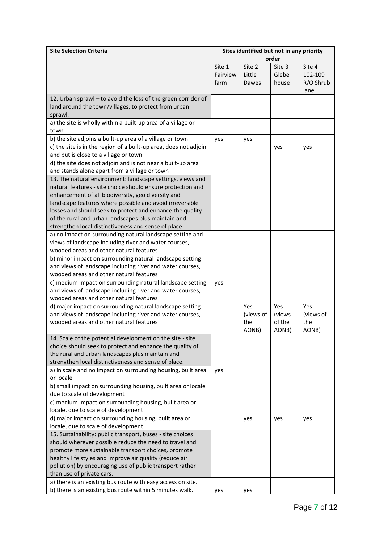| <b>Site Selection Criteria</b>                                   |          | Sites identified but not in any priority |        |           |
|------------------------------------------------------------------|----------|------------------------------------------|--------|-----------|
|                                                                  |          |                                          | order  |           |
|                                                                  | Site 1   | Site 2                                   | Site 3 | Site 4    |
|                                                                  | Fairview | Little                                   | Glebe  | 102-109   |
|                                                                  | farm     | Dawes                                    | house  | R/O Shrub |
|                                                                  |          |                                          |        | lane      |
| 12. Urban sprawl - to avoid the loss of the green corridor of    |          |                                          |        |           |
| land around the town/villages, to protect from urban             |          |                                          |        |           |
| sprawl.                                                          |          |                                          |        |           |
| a) the site is wholly within a built-up area of a village or     |          |                                          |        |           |
| town                                                             |          |                                          |        |           |
| b) the site adjoins a built-up area of a village or town         | yes      | yes                                      |        |           |
| c) the site is in the region of a built-up area, does not adjoin |          |                                          | yes    | yes       |
| and but is close to a village or town                            |          |                                          |        |           |
| d) the site does not adjoin and is not near a built-up area      |          |                                          |        |           |
| and stands alone apart from a village or town                    |          |                                          |        |           |
| 13. The natural environment: landscape settings, views and       |          |                                          |        |           |
| natural features - site choice should ensure protection and      |          |                                          |        |           |
| enhancement of all biodiversity, geo diversity and               |          |                                          |        |           |
| landscape features where possible and avoid irreversible         |          |                                          |        |           |
| losses and should seek to protect and enhance the quality        |          |                                          |        |           |
| of the rural and urban landscapes plus maintain and              |          |                                          |        |           |
| strengthen local distinctiveness and sense of place.             |          |                                          |        |           |
| a) no impact on surrounding natural landscape setting and        |          |                                          |        |           |
| views of landscape including river and water courses,            |          |                                          |        |           |
| wooded areas and other natural features                          |          |                                          |        |           |
|                                                                  |          |                                          |        |           |
| b) minor impact on surrounding natural landscape setting         |          |                                          |        |           |
| and views of landscape including river and water courses,        |          |                                          |        |           |
| wooded areas and other natural features                          |          |                                          |        |           |
| c) medium impact on surrounding natural landscape setting        | yes      |                                          |        |           |
| and views of landscape including river and water courses,        |          |                                          |        |           |
| wooded areas and other natural features                          |          |                                          |        |           |
| d) major impact on surrounding natural landscape setting         |          | <b>Yes</b>                               | Yes    | Yes       |
| and views of landscape including river and water courses,        |          | (views of                                | (views | (views of |
| wooded areas and other natural features                          |          | the                                      | of the | the       |
|                                                                  |          | AONB)                                    | AONB)  | AONB)     |
| 14. Scale of the potential development on the site - site        |          |                                          |        |           |
| choice should seek to protect and enhance the quality of         |          |                                          |        |           |
| the rural and urban landscapes plus maintain and                 |          |                                          |        |           |
| strengthen local distinctiveness and sense of place.             |          |                                          |        |           |
| a) in scale and no impact on surrounding housing, built area     | yes      |                                          |        |           |
| or locale                                                        |          |                                          |        |           |
| b) small impact on surrounding housing, built area or locale     |          |                                          |        |           |
| due to scale of development                                      |          |                                          |        |           |
| c) medium impact on surrounding housing, built area or           |          |                                          |        |           |
| locale, due to scale of development                              |          |                                          |        |           |
| d) major impact on surrounding housing, built area or            |          | yes                                      | yes    | yes       |
| locale, due to scale of development                              |          |                                          |        |           |
| 15. Sustainability: public transport, buses - site choices       |          |                                          |        |           |
| should wherever possible reduce the need to travel and           |          |                                          |        |           |
| promote more sustainable transport choices, promote              |          |                                          |        |           |
| healthy life styles and improve air quality (reduce air          |          |                                          |        |           |
| pollution) by encouraging use of public transport rather         |          |                                          |        |           |
| than use of private cars.                                        |          |                                          |        |           |
| a) there is an existing bus route with easy access on site.      |          |                                          |        |           |
| b) there is an existing bus route within 5 minutes walk.         | yes      | yes                                      |        |           |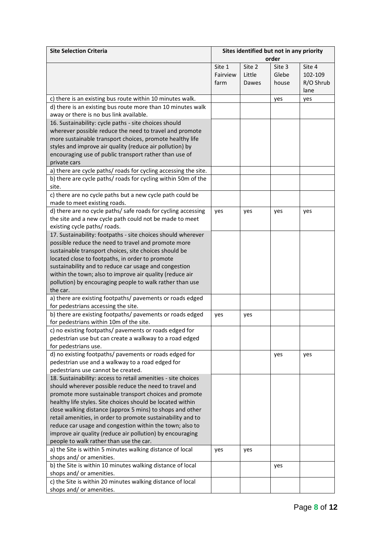| <b>Site Selection Criteria</b>                                  |          | Sites identified but not in any priority |        |           |
|-----------------------------------------------------------------|----------|------------------------------------------|--------|-----------|
|                                                                 | order    |                                          |        |           |
|                                                                 | Site 1   | Site 2                                   | Site 3 | Site 4    |
|                                                                 | Fairview | Little                                   | Glebe  | 102-109   |
|                                                                 | farm     | Dawes                                    | house  | R/O Shrub |
|                                                                 |          |                                          |        | lane      |
| c) there is an existing bus route within 10 minutes walk.       |          |                                          | yes    | yes       |
| d) there is an existing bus route more than 10 minutes walk     |          |                                          |        |           |
| away or there is no bus link available.                         |          |                                          |        |           |
| 16. Sustainability: cycle paths - site choices should           |          |                                          |        |           |
| wherever possible reduce the need to travel and promote         |          |                                          |        |           |
| more sustainable transport choices, promote healthy life        |          |                                          |        |           |
| styles and improve air quality (reduce air pollution) by        |          |                                          |        |           |
| encouraging use of public transport rather than use of          |          |                                          |        |           |
| private cars                                                    |          |                                          |        |           |
| a) there are cycle paths/ roads for cycling accessing the site. |          |                                          |        |           |
| b) there are cycle paths/ roads for cycling within 50m of the   |          |                                          |        |           |
| site.                                                           |          |                                          |        |           |
| c) there are no cycle paths but a new cycle path could be       |          |                                          |        |           |
| made to meet existing roads.                                    |          |                                          |        |           |
| d) there are no cycle paths/ safe roads for cycling accessing   | yes      | yes                                      | yes    | yes       |
| the site and a new cycle path could not be made to meet         |          |                                          |        |           |
| existing cycle paths/ roads.                                    |          |                                          |        |           |
| 17. Sustainability: footpaths - site choices should wherever    |          |                                          |        |           |
| possible reduce the need to travel and promote more             |          |                                          |        |           |
| sustainable transport choices, site choices should be           |          |                                          |        |           |
| located close to footpaths, in order to promote                 |          |                                          |        |           |
| sustainability and to reduce car usage and congestion           |          |                                          |        |           |
| within the town; also to improve air quality (reduce air        |          |                                          |        |           |
| pollution) by encouraging people to walk rather than use        |          |                                          |        |           |
| the car.                                                        |          |                                          |        |           |
| a) there are existing footpaths/ pavements or roads edged       |          |                                          |        |           |
| for pedestrians accessing the site.                             |          |                                          |        |           |
| b) there are existing footpaths/ pavements or roads edged       | yes      | yes                                      |        |           |
| for pedestrians within 10m of the site.                         |          |                                          |        |           |
| c) no existing footpaths/ pavements or roads edged for          |          |                                          |        |           |
| pedestrian use but can create a walkway to a road edged         |          |                                          |        |           |
| for pedestrians use.                                            |          |                                          |        |           |
| d) no existing footpaths/ pavements or roads edged for          |          |                                          | yes    | yes       |
| pedestrian use and a walkway to a road edged for                |          |                                          |        |           |
| pedestrians use cannot be created.                              |          |                                          |        |           |
| 18. Sustainability: access to retail amenities - site choices   |          |                                          |        |           |
| should wherever possible reduce the need to travel and          |          |                                          |        |           |
| promote more sustainable transport choices and promote          |          |                                          |        |           |
| healthy life styles. Site choices should be located within      |          |                                          |        |           |
| close walking distance (approx 5 mins) to shops and other       |          |                                          |        |           |
| retail amenities, in order to promote sustainability and to     |          |                                          |        |           |
| reduce car usage and congestion within the town; also to        |          |                                          |        |           |
| improve air quality (reduce air pollution) by encouraging       |          |                                          |        |           |
| people to walk rather than use the car.                         |          |                                          |        |           |
| a) the Site is within 5 minutes walking distance of local       | yes      | yes                                      |        |           |
| shops and/ or amenities.                                        |          |                                          |        |           |
| b) the Site is within 10 minutes walking distance of local      |          |                                          | yes    |           |
| shops and/ or amenities.                                        |          |                                          |        |           |
| c) the Site is within 20 minutes walking distance of local      |          |                                          |        |           |
| shops and/ or amenities.                                        |          |                                          |        |           |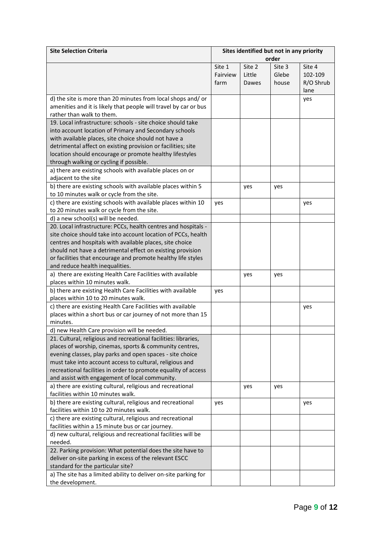| <b>Site Selection Criteria</b>                                   |          | Sites identified but not in any priority<br>order |        |           |
|------------------------------------------------------------------|----------|---------------------------------------------------|--------|-----------|
|                                                                  | Site 1   | Site 2                                            | Site 3 | Site 4    |
|                                                                  | Fairview | Little                                            | Glebe  | 102-109   |
|                                                                  | farm     |                                                   |        |           |
|                                                                  |          | Dawes                                             | house  | R/O Shrub |
|                                                                  |          |                                                   |        | lane      |
| d) the site is more than 20 minutes from local shops and/or      |          |                                                   |        | yes       |
| amenities and it is likely that people will travel by car or bus |          |                                                   |        |           |
| rather than walk to them.                                        |          |                                                   |        |           |
| 19. Local infrastructure: schools - site choice should take      |          |                                                   |        |           |
| into account location of Primary and Secondary schools           |          |                                                   |        |           |
| with available places, site choice should not have a             |          |                                                   |        |           |
| detrimental affect on existing provision or facilities; site     |          |                                                   |        |           |
| location should encourage or promote healthy lifestyles          |          |                                                   |        |           |
| through walking or cycling if possible.                          |          |                                                   |        |           |
| a) there are existing schools with available places on or        |          |                                                   |        |           |
| adjacent to the site                                             |          |                                                   |        |           |
| b) there are existing schools with available places within 5     |          | yes                                               | yes    |           |
| to 10 minutes walk or cycle from the site.                       |          |                                                   |        |           |
| c) there are existing schools with available places within 10    | yes      |                                                   |        | yes       |
| to 20 minutes walk or cycle from the site.                       |          |                                                   |        |           |
| d) a new school(s) will be needed.                               |          |                                                   |        |           |
| 20. Local infrastructure: PCCs, health centres and hospitals -   |          |                                                   |        |           |
| site choice should take into account location of PCCs, health    |          |                                                   |        |           |
| centres and hospitals with available places, site choice         |          |                                                   |        |           |
| should not have a detrimental effect on existing provision       |          |                                                   |        |           |
| or facilities that encourage and promote healthy life styles     |          |                                                   |        |           |
| and reduce health inequalities.                                  |          |                                                   |        |           |
| a) there are existing Health Care Facilities with available      |          | yes                                               | yes    |           |
| places within 10 minutes walk.                                   |          |                                                   |        |           |
| b) there are existing Health Care Facilities with available      | yes      |                                                   |        |           |
| places within 10 to 20 minutes walk.                             |          |                                                   |        |           |
| c) there are existing Health Care Facilities with available      |          |                                                   |        | yes       |
| places within a short bus or car journey of not more than 15     |          |                                                   |        |           |
| minutes.                                                         |          |                                                   |        |           |
| d) new Health Care provision will be needed.                     |          |                                                   |        |           |
| 21. Cultural, religious and recreational facilities: libraries,  |          |                                                   |        |           |
| places of worship, cinemas, sports & community centres,          |          |                                                   |        |           |
| evening classes, play parks and open spaces - site choice        |          |                                                   |        |           |
| must take into account access to cultural, religious and         |          |                                                   |        |           |
| recreational facilities in order to promote equality of access   |          |                                                   |        |           |
| and assist with engagement of local community.                   |          |                                                   |        |           |
| a) there are existing cultural, religious and recreational       |          | yes                                               | yes    |           |
| facilities within 10 minutes walk.                               |          |                                                   |        |           |
| b) there are existing cultural, religious and recreational       |          |                                                   |        | yes       |
| facilities within 10 to 20 minutes walk.                         |          |                                                   |        |           |
| c) there are existing cultural, religious and recreational       |          |                                                   |        |           |
| facilities within a 15 minute bus or car journey.                |          |                                                   |        |           |
| d) new cultural, religious and recreational facilities will be   |          |                                                   |        |           |
| needed.                                                          |          |                                                   |        |           |
| 22. Parking provision: What potential does the site have to      |          |                                                   |        |           |
| deliver on-site parking in excess of the relevant ESCC           |          |                                                   |        |           |
| standard for the particular site?                                |          |                                                   |        |           |
| a) The site has a limited ability to deliver on-site parking for |          |                                                   |        |           |
| the development.                                                 |          |                                                   |        |           |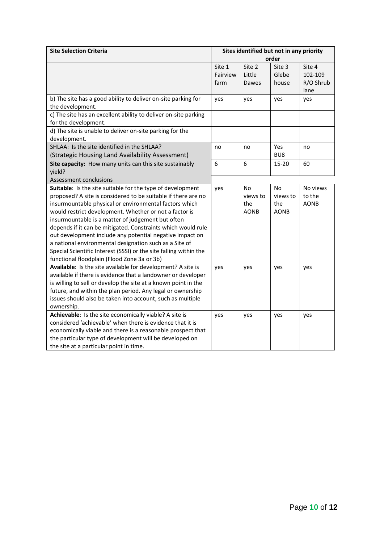| <b>Site Selection Criteria</b>                                                    | Sites identified but not in any priority |             |             |             |
|-----------------------------------------------------------------------------------|------------------------------------------|-------------|-------------|-------------|
|                                                                                   | order                                    |             |             |             |
|                                                                                   | Site 1                                   | Site 2      | Site 3      | Site 4      |
|                                                                                   | Fairview                                 | Little      | Glebe       | 102-109     |
|                                                                                   | farm                                     | Dawes       | house       | R/O Shrub   |
|                                                                                   |                                          |             |             | lane        |
| b) The site has a good ability to deliver on-site parking for<br>the development. | yes                                      | yes         | yes         | yes         |
| c) The site has an excellent ability to deliver on-site parking                   |                                          |             |             |             |
| for the development.                                                              |                                          |             |             |             |
| d) The site is unable to deliver on-site parking for the                          |                                          |             |             |             |
| development.                                                                      |                                          |             |             |             |
| SHLAA: Is the site identified in the SHLAA?                                       | no                                       | no          | Yes         | no          |
| (Strategic Housing Land Availability Assessment)                                  |                                          |             | BU8         |             |
| Site capacity: How many units can this site sustainably                           | 6                                        | 6           | 15-20       | 60          |
| yield?                                                                            |                                          |             |             |             |
| Assessment conclusions                                                            |                                          |             |             |             |
| Suitable: Is the site suitable for the type of development                        | yes                                      | No          | No          | No views    |
| proposed? A site is considered to be suitable if there are no                     |                                          | views to    | views to    | to the      |
| insurmountable physical or environmental factors which                            |                                          | the         | the         | <b>AONB</b> |
| would restrict development. Whether or not a factor is                            |                                          | <b>AONB</b> | <b>AONB</b> |             |
| insurmountable is a matter of judgement but often                                 |                                          |             |             |             |
| depends if it can be mitigated. Constraints which would rule                      |                                          |             |             |             |
| out development include any potential negative impact on                          |                                          |             |             |             |
| a national environmental designation such as a Site of                            |                                          |             |             |             |
| Special Scientific Interest (SSSI) or the site falling within the                 |                                          |             |             |             |
| functional floodplain (Flood Zone 3a or 3b)                                       |                                          |             |             |             |
| Available: Is the site available for development? A site is                       | yes                                      | yes         | yes         | yes         |
| available if there is evidence that a landowner or developer                      |                                          |             |             |             |
| is willing to sell or develop the site at a known point in the                    |                                          |             |             |             |
| future, and within the plan period. Any legal or ownership                        |                                          |             |             |             |
| issues should also be taken into account, such as multiple                        |                                          |             |             |             |
| ownership.                                                                        |                                          |             |             |             |
| Achievable: Is the site economically viable? A site is                            | yes                                      | yes         | yes         | yes         |
| considered 'achievable' when there is evidence that it is                         |                                          |             |             |             |
| economically viable and there is a reasonable prospect that                       |                                          |             |             |             |
| the particular type of development will be developed on                           |                                          |             |             |             |
| the site at a particular point in time.                                           |                                          |             |             |             |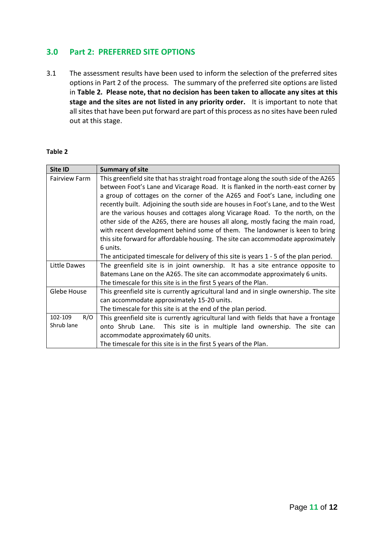# **3.0 Part 2: PREFERRED SITE OPTIONS**

3.1 The assessment results have been used to inform the selection of the preferred sites options in Part 2 of the process. The summary of the preferred site options are listed in **Table 2. Please note, that no decision has been taken to allocate any sites at this stage and the sites are not listed in any priority order.** It is important to note that all sites that have been put forward are part of this process as no sites have been ruled out at this stage.

#### **Table 2**

| Site ID                      | <b>Summary of site</b>                                                                                                                                                                                                                                                                                                                                                                                                                                                                                                                                                                                                                                                                                                                                                                         |
|------------------------------|------------------------------------------------------------------------------------------------------------------------------------------------------------------------------------------------------------------------------------------------------------------------------------------------------------------------------------------------------------------------------------------------------------------------------------------------------------------------------------------------------------------------------------------------------------------------------------------------------------------------------------------------------------------------------------------------------------------------------------------------------------------------------------------------|
| <b>Fairview Farm</b>         | This greenfield site that has straight road frontage along the south side of the A265<br>between Foot's Lane and Vicarage Road. It is flanked in the north-east corner by<br>a group of cottages on the corner of the A265 and Foot's Lane, including one<br>recently built. Adjoining the south side are houses in Foot's Lane, and to the West<br>are the various houses and cottages along Vicarage Road. To the north, on the<br>other side of the A265, there are houses all along, mostly facing the main road,<br>with recent development behind some of them. The landowner is keen to bring<br>this site forward for affordable housing. The site can accommodate approximately<br>6 units.<br>The anticipated timescale for delivery of this site is years 1 - 5 of the plan period. |
| Little Dawes                 | The greenfield site is in joint ownership. It has a site entrance opposite to<br>Batemans Lane on the A265. The site can accommodate approximately 6 units.<br>The timescale for this site is in the first 5 years of the Plan.                                                                                                                                                                                                                                                                                                                                                                                                                                                                                                                                                                |
| Glebe House                  | This greenfield site is currently agricultural land and in single ownership. The site<br>can accommodate approximately 15-20 units.<br>The timescale for this site is at the end of the plan period.                                                                                                                                                                                                                                                                                                                                                                                                                                                                                                                                                                                           |
| 102-109<br>R/O<br>Shrub lane | This greenfield site is currently agricultural land with fields that have a frontage<br>onto Shrub Lane. This site is in multiple land ownership. The site can<br>accommodate approximately 60 units.<br>The timescale for this site is in the first 5 years of the Plan.                                                                                                                                                                                                                                                                                                                                                                                                                                                                                                                      |